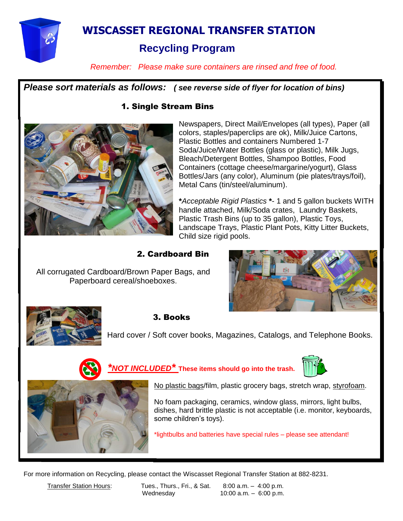

# **WISCASSET REGIONAL TRANSFER STATION**

# **Recycling Program**

*Remember: Please make sure containers are rinsed and free of food.*

*Please sort materials as follows: ( see reverse side of flyer for location of bins)*

#### 1. Single Stream Bins



Newspapers, Direct Mail/Envelopes (all types), Paper (all colors, staples/paperclips are ok), Milk/Juice Cartons, Plastic Bottles and containers Numbered 1-7 Soda/Juice/Water Bottles (glass or plastic), Milk Jugs, Bleach/Detergent Bottles, Shampoo Bottles, Food Containers (cottage cheese/margarine/yogurt), Glass Bottles/Jars (any color), Aluminum (pie plates/trays/foil), Metal Cans (tin/steel/aluminum).

**\****Acceptable Rigid Plastics* **\***- 1 and 5 gallon buckets WITH handle attached, Milk/Soda crates, Laundry Baskets, Plastic Trash Bins (up to 35 gallon), Plastic Toys, Landscape Trays, Plastic Plant Pots, Kitty Litter Buckets, Child size rigid pools.

#### 2. Cardboard Bin

All corrugated Cardboard/Brown Paper Bags, and Paperboard cereal/shoeboxes.





#### 3. Books

Hard cover / Soft cover books, Magazines, Catalogs, and Telephone Books.



### *\*NOT INCLUDED\** **These items should go into the trash.**



No plastic bags/film, plastic grocery bags, stretch wrap, styrofoam.

No foam packaging, ceramics, window glass, mirrors, light bulbs, dishes, hard brittle plastic is not acceptable (i.e. monitor, keyboards, some children's toys).

\*lightbulbs and batteries have special rules – please see attendant!

For more information on Recycling, please contact the Wiscasset Regional Transfer Station at 882-8231.

Transfer Station Hours: Tues., Thurs., Fri., & Sat. 8:00 a.m. - 4:00 p.m. Wednesday 10:00 a.m. – 6:00 p.m.